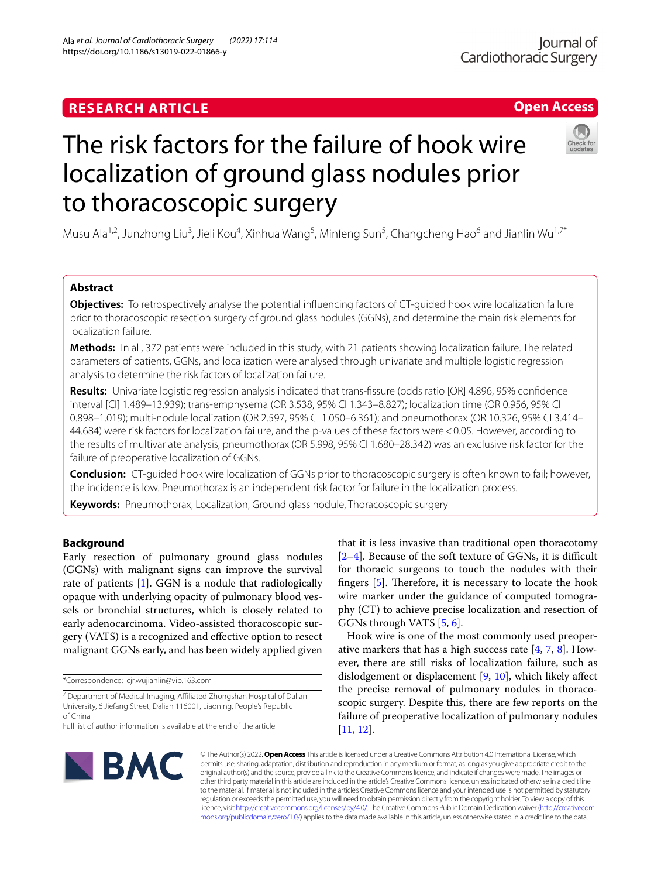https://doi.org/10.1186/s13019-022-01866-y

Ala *et al. Journal of Cardiothoracic Surgery (2022) 17:114* 

## **Open Access**

# The risk factors for the failure of hook wire localization of ground glass nodules prior to thoracoscopic surgery

Musu Ala<sup>1,2</sup>, Junzhong Liu<sup>3</sup>, Jieli Kou<sup>4</sup>, Xinhua Wang<sup>5</sup>, Minfeng Sun<sup>5</sup>, Changcheng Hao<sup>6</sup> and Jianlin Wu<sup>1,7\*</sup>

## **Abstract**

**Objectives:** To retrospectively analyse the potential infuencing factors of CT-guided hook wire localization failure prior to thoracoscopic resection surgery of ground glass nodules (GGNs), and determine the main risk elements for localization failure.

**Methods:** In all, 372 patients were included in this study, with 21 patients showing localization failure. The related parameters of patients, GGNs, and localization were analysed through univariate and multiple logistic regression analysis to determine the risk factors of localization failure.

**Results:** Univariate logistic regression analysis indicated that trans-fssure (odds ratio [OR] 4.896, 95% confdence interval [CI] 1.489–13.939); trans-emphysema (OR 3.538, 95% CI 1.343–8.827); localization time (OR 0.956, 95% CI 0.898–1.019); multi-nodule localization (OR 2.597, 95% CI 1.050–6.361); and pneumothorax (OR 10.326, 95% CI 3.414– 44.684) were risk factors for localization failure, and the p-values of these factors were<0.05. However, according to the results of multivariate analysis, pneumothorax (OR 5.998, 95% CI 1.680–28.342) was an exclusive risk factor for the failure of preoperative localization of GGNs.

**Conclusion:** CT-guided hook wire localization of GGNs prior to thoracoscopic surgery is often known to fail; however, the incidence is low. Pneumothorax is an independent risk factor for failure in the localization process.

**Keywords:** Pneumothorax, Localization, Ground glass nodule, Thoracoscopic surgery

## **Background**

Early resection of pulmonary ground glass nodules (GGNs) with malignant signs can improve the survival rate of patients [[1\]](#page-5-0). GGN is a nodule that radiologically opaque with underlying opacity of pulmonary blood vessels or bronchial structures, which is closely related to early adenocarcinoma. Video-assisted thoracoscopic surgery (VATS) is a recognized and efective option to resect malignant GGNs early, and has been widely applied given

\*Correspondence: cjr.wujianlin@vip.163.com

that it is less invasive than traditional open thoracotomy  $[2-4]$  $[2-4]$ . Because of the soft texture of GGNs, it is difficult for thoracic surgeons to touch the nodules with their fingers  $[5]$  $[5]$ . Therefore, it is necessary to locate the hook wire marker under the guidance of computed tomography (CT) to achieve precise localization and resection of GGNs through VATS [[5](#page-5-3), [6\]](#page-5-4).

Hook wire is one of the most commonly used preoperative markers that has a high success rate  $[4, 7, 8]$  $[4, 7, 8]$  $[4, 7, 8]$  $[4, 7, 8]$  $[4, 7, 8]$  $[4, 7, 8]$ . However, there are still risks of localization failure, such as dislodgement or displacement [\[9](#page-5-7), [10](#page-5-8)], which likely afect the precise removal of pulmonary nodules in thoracoscopic surgery. Despite this, there are few reports on the failure of preoperative localization of pulmonary nodules [[11,](#page-5-9) [12](#page-5-10)].



© The Author(s) 2022. **Open Access** This article is licensed under a Creative Commons Attribution 4.0 International License, which permits use, sharing, adaptation, distribution and reproduction in any medium or format, as long as you give appropriate credit to the original author(s) and the source, provide a link to the Creative Commons licence, and indicate if changes were made. The images or other third party material in this article are included in the article's Creative Commons licence, unless indicated otherwise in a credit line to the material. If material is not included in the article's Creative Commons licence and your intended use is not permitted by statutory regulation or exceeds the permitted use, you will need to obtain permission directly from the copyright holder. To view a copy of this licence, visit [http://creativecommons.org/licenses/by/4.0/.](http://creativecommons.org/licenses/by/4.0/) The Creative Commons Public Domain Dedication waiver ([http://creativecom](http://creativecommons.org/publicdomain/zero/1.0/)[mons.org/publicdomain/zero/1.0/\)](http://creativecommons.org/publicdomain/zero/1.0/) applies to the data made available in this article, unless otherwise stated in a credit line to the data.

<sup>&</sup>lt;sup>7</sup> Department of Medical Imaging, Affiliated Zhongshan Hospital of Dalian University, 6 Jiefang Street, Dalian 116001, Liaoning, People's Republic of China

Full list of author information is available at the end of the article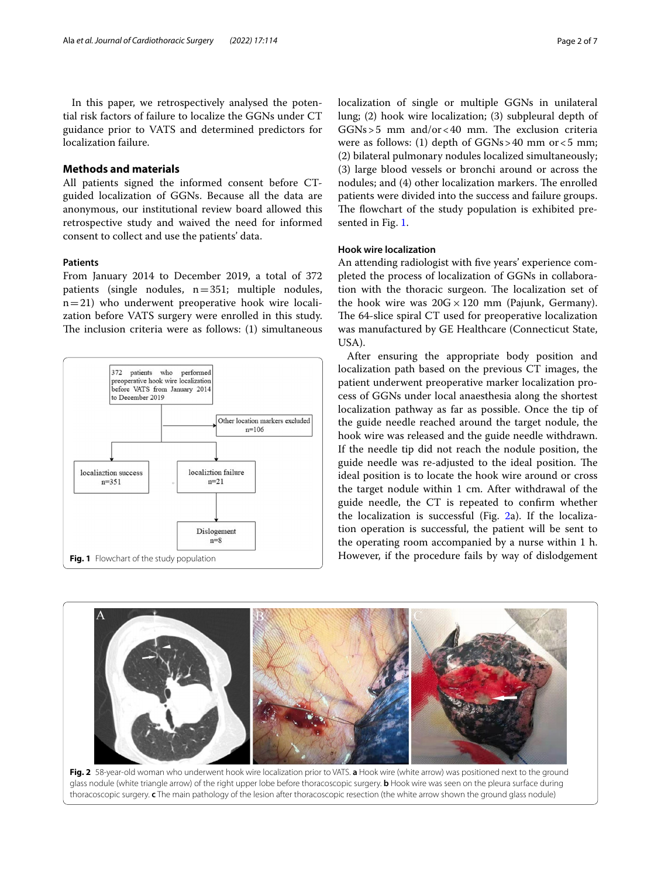In this paper, we retrospectively analysed the potential risk factors of failure to localize the GGNs under CT guidance prior to VATS and determined predictors for localization failure.

## **Methods and materials**

All patients signed the informed consent before CTguided localization of GGNs. Because all the data are anonymous, our institutional review board allowed this retrospective study and waived the need for informed consent to collect and use the patients' data.

#### **Patients**

From January 2014 to December 2019, a total of 372 patients (single nodules, n=351; multiple nodules,  $n=21$ ) who underwent preoperative hook wire localization before VATS surgery were enrolled in this study. The inclusion criteria were as follows: (1) simultaneous



localization of single or multiple GGNs in unilateral lung; (2) hook wire localization; (3) subpleural depth of  $GGNs > 5$  mm and/or < 40 mm. The exclusion criteria were as follows: (1) depth of  $GGNs > 40$  mm or  $< 5$  mm; (2) bilateral pulmonary nodules localized simultaneously; (3) large blood vessels or bronchi around or across the nodules; and (4) other localization markers. The enrolled patients were divided into the success and failure groups. The flowchart of the study population is exhibited presented in Fig. [1](#page-1-0).

## **Hook wire localization**

An attending radiologist with fve years' experience completed the process of localization of GGNs in collaboration with the thoracic surgeon. The localization set of the hook wire was  $20G \times 120$  mm (Pajunk, Germany). The 64-slice spiral CT used for preoperative localization was manufactured by GE Healthcare (Connecticut State, USA).

After ensuring the appropriate body position and localization path based on the previous CT images, the patient underwent preoperative marker localization process of GGNs under local anaesthesia along the shortest localization pathway as far as possible. Once the tip of the guide needle reached around the target nodule, the hook wire was released and the guide needle withdrawn. If the needle tip did not reach the nodule position, the guide needle was re-adjusted to the ideal position. The ideal position is to locate the hook wire around or cross the target nodule within 1 cm. After withdrawal of the guide needle, the CT is repeated to confrm whether the localization is successful (Fig. [2](#page-1-1)a). If the localization operation is successful, the patient will be sent to the operating room accompanied by a nurse within 1 h.

<span id="page-1-0"></span>

<span id="page-1-1"></span>**Fig. 2** 58-year-old woman who underwent hook wire localization prior to VATS. **a** Hook wire (white arrow) was positioned next to the ground glass nodule (white triangle arrow) of the right upper lobe before thoracoscopic surgery. **b** Hook wire was seen on the pleura surface during thoracoscopic surgery. **c** The main pathology of the lesion after thoracoscopic resection (the white arrow shown the ground glass nodule)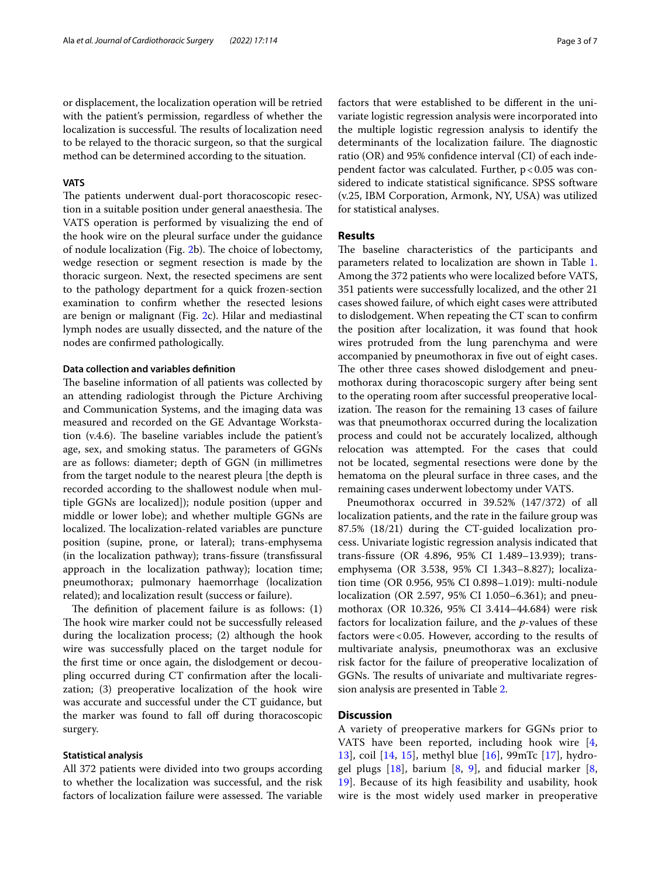or displacement, the localization operation will be retried with the patient's permission, regardless of whether the localization is successful. The results of localization need to be relayed to the thoracic surgeon, so that the surgical method can be determined according to the situation.

## **VATS**

The patients underwent dual-port thoracoscopic resection in a suitable position under general anaesthesia. The VATS operation is performed by visualizing the end of the hook wire on the pleural surface under the guidance of nodule localization (Fig. [2](#page-1-1)b). The choice of lobectomy, wedge resection or segment resection is made by the thoracic surgeon. Next, the resected specimens are sent to the pathology department for a quick frozen-section examination to confrm whether the resected lesions are benign or malignant (Fig. [2](#page-1-1)c). Hilar and mediastinal lymph nodes are usually dissected, and the nature of the nodes are confrmed pathologically.

## **Data collection and variables defnition**

The baseline information of all patients was collected by an attending radiologist through the Picture Archiving and Communication Systems, and the imaging data was measured and recorded on the GE Advantage Workstation  $(v.4.6)$ . The baseline variables include the patient's age, sex, and smoking status. The parameters of GGNs are as follows: diameter; depth of GGN (in millimetres from the target nodule to the nearest pleura [the depth is recorded according to the shallowest nodule when multiple GGNs are localized]); nodule position (upper and middle or lower lobe); and whether multiple GGNs are localized. The localization-related variables are puncture position (supine, prone, or lateral); trans-emphysema (in the localization pathway); trans-fssure (transfssural approach in the localization pathway); location time; pneumothorax; pulmonary haemorrhage (localization related); and localization result (success or failure).

The definition of placement failure is as follows:  $(1)$ The hook wire marker could not be successfully released during the localization process; (2) although the hook wire was successfully placed on the target nodule for the frst time or once again, the dislodgement or decoupling occurred during CT confrmation after the localization; (3) preoperative localization of the hook wire was accurate and successful under the CT guidance, but the marker was found to fall off during thoracoscopic surgery.

## **Statistical analysis**

All 372 patients were divided into two groups according to whether the localization was successful, and the risk factors of localization failure were assessed. The variable factors that were established to be diferent in the univariate logistic regression analysis were incorporated into the multiple logistic regression analysis to identify the determinants of the localization failure. The diagnostic ratio (OR) and 95% confdence interval (CI) of each independent factor was calculated. Further,  $p < 0.05$  was considered to indicate statistical signifcance. SPSS software (v.25, IBM Corporation, Armonk, NY, USA) was utilized for statistical analyses.

## **Results**

The baseline characteristics of the participants and parameters related to localization are shown in Table [1](#page-3-0). Among the 372 patients who were localized before VATS, 351 patients were successfully localized, and the other 21 cases showed failure, of which eight cases were attributed to dislodgement. When repeating the CT scan to confrm the position after localization, it was found that hook wires protruded from the lung parenchyma and were accompanied by pneumothorax in fve out of eight cases. The other three cases showed dislodgement and pneumothorax during thoracoscopic surgery after being sent to the operating room after successful preoperative localization. The reason for the remaining 13 cases of failure was that pneumothorax occurred during the localization process and could not be accurately localized, although relocation was attempted. For the cases that could not be located, segmental resections were done by the hematoma on the pleural surface in three cases, and the remaining cases underwent lobectomy under VATS.

Pneumothorax occurred in 39.52% (147/372) of all localization patients, and the rate in the failure group was 87.5% (18/21) during the CT-guided localization process. Univariate logistic regression analysis indicated that trans-fssure (OR 4.896, 95% CI 1.489–13.939); transemphysema (OR 3.538, 95% CI 1.343–8.827); localization time (OR 0.956, 95% CI 0.898–1.019): multi-nodule localization (OR 2.597, 95% CI 1.050–6.361); and pneumothorax (OR 10.326, 95% CI 3.414–44.684) were risk factors for localization failure, and the *p*-values of these factors were<0.05. However, according to the results of multivariate analysis, pneumothorax was an exclusive risk factor for the failure of preoperative localization of GGNs. The results of univariate and multivariate regression analysis are presented in Table [2](#page-4-0).

## **Discussion**

A variety of preoperative markers for GGNs prior to VATS have been reported, including hook wire [\[4](#page-5-2), [13\]](#page-5-11), coil [[14,](#page-5-12) [15\]](#page-5-13), methyl blue [[16\]](#page-5-14), 99mTc [\[17](#page-5-15)], hydrogel plugs  $[18]$  $[18]$ , barium  $[8, 9]$  $[8, 9]$  $[8, 9]$  $[8, 9]$ , and fiducial marker  $[8, 9]$ [19\]](#page-5-17). Because of its high feasibility and usability, hook wire is the most widely used marker in preoperative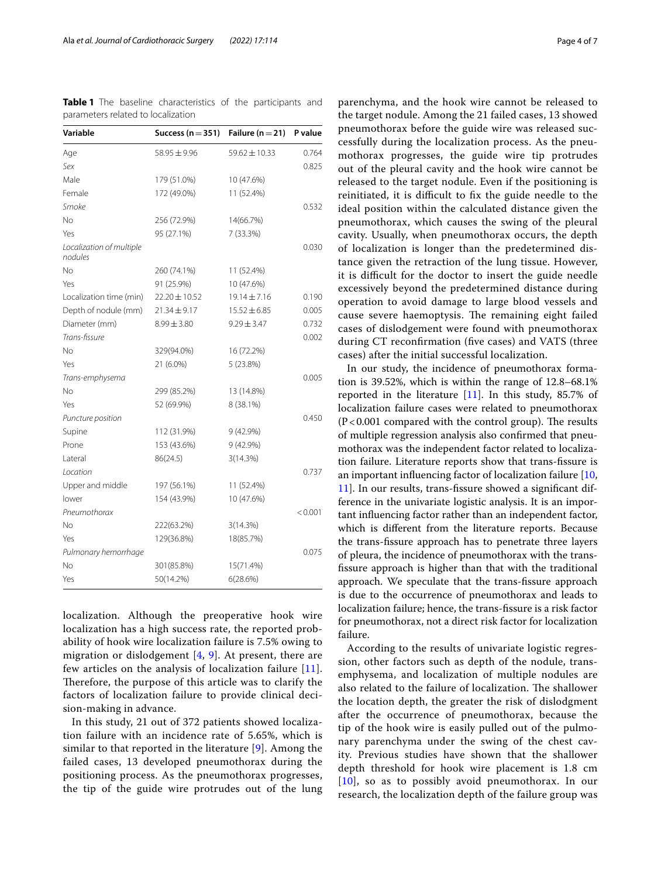<span id="page-3-0"></span>

|                                    |  |  | <b>Table 1</b> The baseline characteristics of the participants and |  |  |  |
|------------------------------------|--|--|---------------------------------------------------------------------|--|--|--|
| parameters related to localization |  |  |                                                                     |  |  |  |

| Variable                            | Success ( $n = 351$ ) | Failure ( $n = 21$ ) | P value |
|-------------------------------------|-----------------------|----------------------|---------|
| Age                                 | $58.95 \pm 9.96$      | $59.62 \pm 10.33$    | 0.764   |
| Sex                                 |                       |                      | 0.825   |
| Male                                | 179 (51.0%)           | 10 (47.6%)           |         |
| Female                              | 172 (49.0%)           | 11 (52.4%)           |         |
| Smoke                               |                       |                      | 0.532   |
| <b>No</b>                           | 256 (72.9%)           | 14(66.7%)            |         |
| Yes                                 | 95 (27.1%)            | 7 (33.3%)            |         |
| Localization of multiple<br>nodules |                       |                      | 0.030   |
| <b>No</b>                           | 260 (74.1%)           | 11 (52.4%)           |         |
| Yes                                 | 91 (25.9%)            | 10 (47.6%)           |         |
| Localization time (min)             | 22.20 ± 10.52         | 19.14±7.16           | 0.190   |
| Depth of nodule (mm)                | $21.34 \pm 9.17$      | $15.52 \pm 6.85$     | 0.005   |
| Diameter (mm)                       | $8.99 \pm 3.80$       | $9.29 \pm 3.47$      | 0.732   |
| Trans-fissure                       |                       |                      | 0.002   |
| No                                  | 329(94.0%)            | 16 (72.2%)           |         |
| Yes                                 | 21 (6.0%)             | 5 (23.8%)            |         |
| Trans-emphysema                     |                       |                      | 0.005   |
| <b>No</b>                           | 299 (85.2%)           | 13 (14.8%)           |         |
| Yes                                 | 52 (69.9%)            | 8 (38.1%)            |         |
| Puncture position                   |                       |                      | 0.450   |
| Supine                              | 112 (31.9%)           | 9 (42.9%)            |         |
| Prone                               | 153 (43.6%)           | 9 (42.9%)            |         |
| Lateral                             | 86(24.5)              | 3(14.3%)             |         |
| Location                            |                       |                      | 0.737   |
| Upper and middle                    | 197 (56.1%)           | 11 (52.4%)           |         |
| lower                               | 154 (43.9%)           | 10 (47.6%)           |         |
| Pneumothorax                        |                       |                      | < 0.001 |
| <b>No</b>                           | 222(63.2%)            | 3(14.3%)             |         |
| Yes                                 | 129(36.8%)            | 18(85.7%)            |         |
| Pulmonary hemorrhage                |                       |                      | 0.075   |
| No                                  | 301(85.8%)            | 15(71.4%)            |         |
| Yes                                 | 50(14.2%)             | 6(28.6%)             |         |

localization. Although the preoperative hook wire localization has a high success rate, the reported probability of hook wire localization failure is 7.5% owing to migration or dislodgement  $[4, 9]$  $[4, 9]$  $[4, 9]$  $[4, 9]$ . At present, there are few articles on the analysis of localization failure [[11\]](#page-5-9). Therefore, the purpose of this article was to clarify the factors of localization failure to provide clinical decision-making in advance.

In this study, 21 out of 372 patients showed localization failure with an incidence rate of 5.65%, which is similar to that reported in the literature [\[9](#page-5-7)]. Among the failed cases, 13 developed pneumothorax during the positioning process. As the pneumothorax progresses, the tip of the guide wire protrudes out of the lung parenchyma, and the hook wire cannot be released to the target nodule. Among the 21 failed cases, 13 showed pneumothorax before the guide wire was released successfully during the localization process. As the pneumothorax progresses, the guide wire tip protrudes out of the pleural cavity and the hook wire cannot be released to the target nodule. Even if the positioning is reinitiated, it is difficult to fix the guide needle to the ideal position within the calculated distance given the pneumothorax, which causes the swing of the pleural cavity. Usually, when pneumothorax occurs, the depth of localization is longer than the predetermined distance given the retraction of the lung tissue. However, it is difficult for the doctor to insert the guide needle excessively beyond the predetermined distance during operation to avoid damage to large blood vessels and cause severe haemoptysis. The remaining eight failed cases of dislodgement were found with pneumothorax during CT reconfrmation (fve cases) and VATS (three cases) after the initial successful localization.

In our study, the incidence of pneumothorax formation is 39.52%, which is within the range of 12.8–68.1% reported in the literature  $[11]$  $[11]$ . In this study, 85.7% of localization failure cases were related to pneumothorax  $(P<0.001$  compared with the control group). The results of multiple regression analysis also confrmed that pneumothorax was the independent factor related to localization failure. Literature reports show that trans-fssure is an important infuencing factor of localization failure [[10](#page-5-8), [11\]](#page-5-9). In our results, trans-fssure showed a signifcant difference in the univariate logistic analysis. It is an important infuencing factor rather than an independent factor, which is diferent from the literature reports. Because the trans-fssure approach has to penetrate three layers of pleura, the incidence of pneumothorax with the transfssure approach is higher than that with the traditional approach. We speculate that the trans-fssure approach is due to the occurrence of pneumothorax and leads to localization failure; hence, the trans-fssure is a risk factor for pneumothorax, not a direct risk factor for localization failure.

According to the results of univariate logistic regression, other factors such as depth of the nodule, transemphysema, and localization of multiple nodules are also related to the failure of localization. The shallower the location depth, the greater the risk of dislodgment after the occurrence of pneumothorax, because the tip of the hook wire is easily pulled out of the pulmonary parenchyma under the swing of the chest cavity. Previous studies have shown that the shallower depth threshold for hook wire placement is 1.8 cm [[10](#page-5-8)], so as to possibly avoid pneumothorax. In our research, the localization depth of the failure group was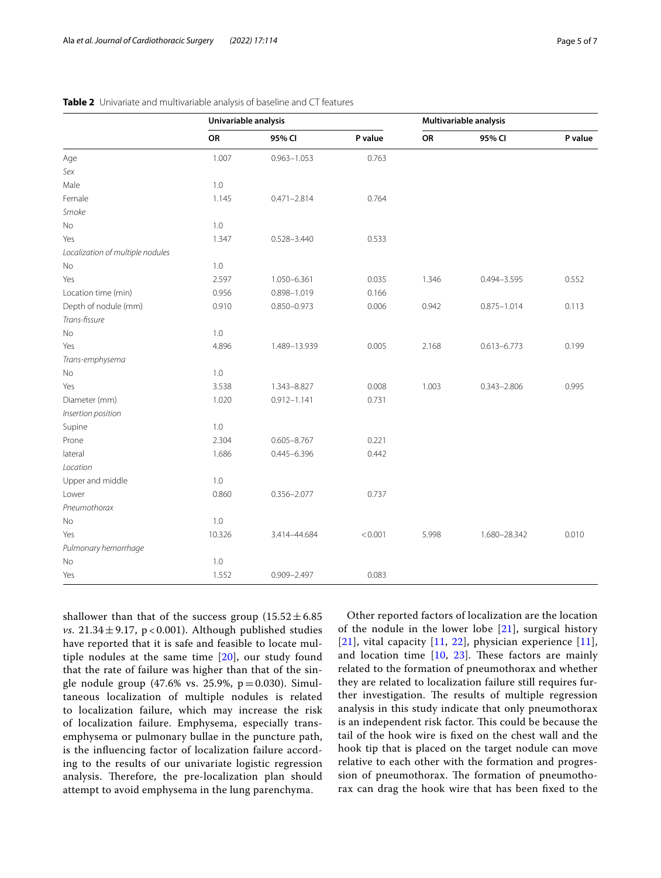|                                  | Univariable analysis |                 |         | Multivariable analysis |                 |         |
|----------------------------------|----------------------|-----------------|---------|------------------------|-----------------|---------|
|                                  | OR                   | 95% CI          | P value | OR                     | 95% CI          | P value |
| Age                              | 1.007                | $0.963 - 1.053$ | 0.763   |                        |                 |         |
| Sex                              |                      |                 |         |                        |                 |         |
| Male                             | 1.0                  |                 |         |                        |                 |         |
| Female                           | 1.145                | $0.471 - 2.814$ | 0.764   |                        |                 |         |
| Smoke                            |                      |                 |         |                        |                 |         |
| No                               | $1.0$                |                 |         |                        |                 |         |
| Yes                              | 1.347                | $0.528 - 3.440$ | 0.533   |                        |                 |         |
| Localization of multiple nodules |                      |                 |         |                        |                 |         |
| No                               | $1.0$                |                 |         |                        |                 |         |
| Yes                              | 2.597                | 1.050-6.361     | 0.035   | 1.346                  | $0.494 - 3.595$ | 0.552   |
| Location time (min)              | 0.956                | 0.898-1.019     | 0.166   |                        |                 |         |
| Depth of nodule (mm)             | 0.910                | 0.850-0.973     | 0.006   | 0.942                  | $0.875 - 1.014$ | 0.113   |
| Trans-fissure                    |                      |                 |         |                        |                 |         |
| No                               | $1.0$                |                 |         |                        |                 |         |
| Yes                              | 4.896                | 1.489-13.939    | 0.005   | 2.168                  | $0.613 - 6.773$ | 0.199   |
| Trans-emphysema                  |                      |                 |         |                        |                 |         |
| No                               | 1.0                  |                 |         |                        |                 |         |
| Yes                              | 3.538                | 1.343-8.827     | 0.008   | 1.003                  | $0.343 - 2.806$ | 0.995   |
| Diameter (mm)                    | 1.020                | $0.912 - 1.141$ | 0.731   |                        |                 |         |
| Insertion position               |                      |                 |         |                        |                 |         |
| Supine                           | 1.0                  |                 |         |                        |                 |         |
| Prone                            | 2.304                | $0.605 - 8.767$ | 0.221   |                        |                 |         |
| lateral                          | 1.686                | $0.445 - 6.396$ | 0.442   |                        |                 |         |
| Location                         |                      |                 |         |                        |                 |         |
| Upper and middle                 | 1.0                  |                 |         |                        |                 |         |
| Lower                            | 0.860                | $0.356 - 2.077$ | 0.737   |                        |                 |         |
| Pneumothorax                     |                      |                 |         |                        |                 |         |
| No                               | $1.0$                |                 |         |                        |                 |         |
| Yes                              | 10.326               | 3.414-44.684    | < 0.001 | 5.998                  | 1.680-28.342    | 0.010   |
| Pulmonary hemorrhage             |                      |                 |         |                        |                 |         |
| No                               | 1.0                  |                 |         |                        |                 |         |
| Yes                              | 1.552                | $0.909 - 2.497$ | 0.083   |                        |                 |         |

<span id="page-4-0"></span>**Table 2** Univariate and multivariable analysis of baseline and CT features

shallower than that of the success group  $(15.52 \pm 6.85)$ *vs.*  $21.34 \pm 9.17$ ,  $p < 0.001$ ). Although published studies have reported that it is safe and feasible to locate multiple nodules at the same time [[20\]](#page-6-0), our study found that the rate of failure was higher than that of the single nodule group (47.6% vs. 25.9%,  $p = 0.030$ ). Simultaneous localization of multiple nodules is related to localization failure, which may increase the risk of localization failure. Emphysema, especially transemphysema or pulmonary bullae in the puncture path, is the infuencing factor of localization failure according to the results of our univariate logistic regression analysis. Therefore, the pre-localization plan should attempt to avoid emphysema in the lung parenchyma.

Other reported factors of localization are the location of the nodule in the lower lobe  $[21]$  $[21]$ , surgical history [[21](#page-6-1)], vital capacity  $[11, 22]$  $[11, 22]$  $[11, 22]$  $[11, 22]$ , physician experience  $[11]$  $[11]$  $[11]$ , and location time  $[10, 23]$  $[10, 23]$  $[10, 23]$  $[10, 23]$ . These factors are mainly related to the formation of pneumothorax and whether they are related to localization failure still requires further investigation. The results of multiple regression analysis in this study indicate that only pneumothorax is an independent risk factor. This could be because the tail of the hook wire is fxed on the chest wall and the hook tip that is placed on the target nodule can move relative to each other with the formation and progression of pneumothorax. The formation of pneumothorax can drag the hook wire that has been fxed to the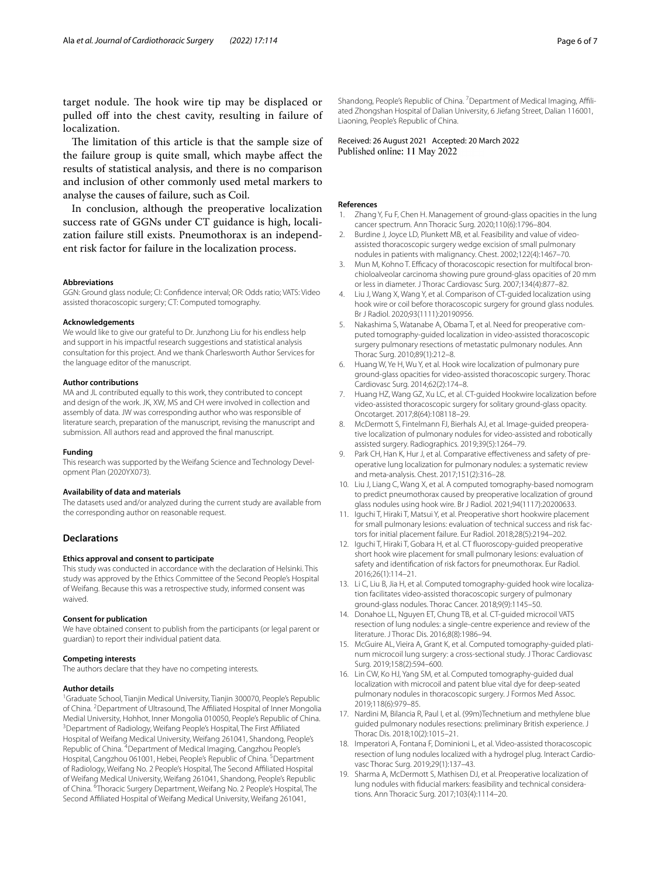target nodule. The hook wire tip may be displaced or pulled off into the chest cavity, resulting in failure of localization.

The limitation of this article is that the sample size of the failure group is quite small, which maybe afect the results of statistical analysis, and there is no comparison and inclusion of other commonly used metal markers to analyse the causes of failure, such as Coil.

In conclusion, although the preoperative localization success rate of GGNs under CT guidance is high, localization failure still exists. Pneumothorax is an independent risk factor for failure in the localization process.

#### **Abbreviations**

GGN: Ground glass nodule; CI: Confdence interval; OR: Odds ratio; VATS: Video assisted thoracoscopic surgery; CT: Computed tomography.

#### **Acknowledgements**

We would like to give our grateful to Dr. Junzhong Liu for his endless help and support in his impactful research suggestions and statistical analysis consultation for this project. And we thank Charlesworth Author Services for the language editor of the manuscript.

#### **Author contributions**

MA and JL contributed equally to this work, they contributed to concept and design of the work. JK, XW, MS and CH were involved in collection and assembly of data. JW was corresponding author who was responsible of literature search, preparation of the manuscript, revising the manuscript and submission. All authors read and approved the fnal manuscript.

#### **Funding**

This research was supported by the Weifang Science and Technology Development Plan (2020YX073).

#### **Availability of data and materials**

The datasets used and/or analyzed during the current study are available from the corresponding author on reasonable request.

## **Declarations**

#### **Ethics approval and consent to participate**

This study was conducted in accordance with the declaration of Helsinki. This study was approved by the Ethics Committee of the Second People's Hospital of Weifang. Because this was a retrospective study, informed consent was waived.

#### **Consent for publication**

We have obtained consent to publish from the participants (or legal parent or guardian) to report their individual patient data.

### **Competing interests**

The authors declare that they have no competing interests.

#### **Author details**

<sup>1</sup> Graduate School, Tianjin Medical University, Tianjin 300070, People's Republic of China. <sup>2</sup> Department of Ultrasound, The Affiliated Hospital of Inner Mongolia Medial University, Hohhot, Inner Mongolia 010050, People's Republic of China. 3 <sup>3</sup> Department of Radiology, Weifang People's Hospital, The First Affiliated Hospital of Weifang Medical University, Weifang 261041, Shandong, People's Republic of China. <sup>4</sup> Department of Medical Imaging, Cangzhou People's Hospital, Cangzhou 061001, Hebei, People's Republic of China. <sup>5</sup> Department of Radiology, Weifang No. 2 People's Hospital, The Second Afliated Hospital of Weifang Medical University, Weifang 261041, Shandong, People's Republic of China. <sup>6</sup>Thoracic Surgery Department, Weifang No. 2 People's Hospital, The Second Afliated Hospital of Weifang Medical University, Weifang 261041,

Shandong, People's Republic of China. <sup>7</sup> Department of Medical Imaging, Affiliated Zhongshan Hospital of Dalian University, 6 Jiefang Street, Dalian 116001, Liaoning, People's Republic of China.

Received: 26 August 2021 Accepted: 20 March 2022 Published online: 11 May 2022

#### **References**

- <span id="page-5-0"></span>1. Zhang Y, Fu F, Chen H. Management of ground-glass opacities in the lung cancer spectrum. Ann Thoracic Surg. 2020;110(6):1796–804.
- <span id="page-5-1"></span>2. Burdine J, Joyce LD, Plunkett MB, et al. Feasibility and value of videoassisted thoracoscopic surgery wedge excision of small pulmonary nodules in patients with malignancy. Chest. 2002;122(4):1467–70.
- 3. Mun M, Kohno T. Efficacy of thoracoscopic resection for multifocal bronchioloalveolar carcinoma showing pure ground-glass opacities of 20 mm or less in diameter. J Thorac Cardiovasc Surg. 2007;134(4):877–82.
- <span id="page-5-2"></span>4. Liu J, Wang X, Wang Y, et al. Comparison of CT-guided localization using hook wire or coil before thoracoscopic surgery for ground glass nodules. Br J Radiol. 2020;93(1111):20190956.
- <span id="page-5-3"></span>5. Nakashima S, Watanabe A, Obama T, et al. Need for preoperative computed tomography-guided localization in video-assisted thoracoscopic surgery pulmonary resections of metastatic pulmonary nodules. Ann Thorac Surg. 2010;89(1):212–8.
- <span id="page-5-4"></span>6. Huang W, Ye H, Wu Y, et al. Hook wire localization of pulmonary pure ground-glass opacities for video-assisted thoracoscopic surgery. Thorac Cardiovasc Surg. 2014;62(2):174–8.
- <span id="page-5-5"></span>7. Huang HZ, Wang GZ, Xu LC, et al. CT-guided Hookwire localization before video-assisted thoracoscopic surgery for solitary ground-glass opacity. Oncotarget. 2017;8(64):108118–29.
- <span id="page-5-6"></span>8. McDermott S, Fintelmann FJ, Bierhals AJ, et al. Image-guided preoperative localization of pulmonary nodules for video-assisted and robotically assisted surgery. Radiographics. 2019;39(5):1264–79.
- <span id="page-5-7"></span>9. Park CH, Han K, Hur J, et al. Comparative effectiveness and safety of preoperative lung localization for pulmonary nodules: a systematic review and meta-analysis. Chest. 2017;151(2):316–28.
- <span id="page-5-8"></span>10. Liu J, Liang C, Wang X, et al. A computed tomography-based nomogram to predict pneumothorax caused by preoperative localization of ground glass nodules using hook wire. Br J Radiol. 2021;94(1117):20200633.
- <span id="page-5-9"></span>11. Iguchi T, Hiraki T, Matsui Y, et al. Preoperative short hookwire placement for small pulmonary lesions: evaluation of technical success and risk factors for initial placement failure. Eur Radiol. 2018;28(5):2194–202.
- <span id="page-5-10"></span>12. Iguchi T, Hiraki T, Gobara H, et al. CT fuoroscopy-guided preoperative short hook wire placement for small pulmonary lesions: evaluation of safety and identifcation of risk factors for pneumothorax. Eur Radiol. 2016;26(1):114–21.
- <span id="page-5-11"></span>13. Li C, Liu B, Jia H, et al. Computed tomography-guided hook wire localization facilitates video-assisted thoracoscopic surgery of pulmonary ground-glass nodules. Thorac Cancer. 2018;9(9):1145–50.
- <span id="page-5-12"></span>14. Donahoe LL, Nguyen ET, Chung TB, et al. CT-guided microcoil VATS resection of lung nodules: a single-centre experience and review of the literature. J Thorac Dis. 2016;8(8):1986–94.
- <span id="page-5-13"></span>15. McGuire AL, Vieira A, Grant K, et al. Computed tomography-guided platinum microcoil lung surgery: a cross-sectional study. J Thorac Cardiovasc Surg. 2019;158(2):594–600.
- <span id="page-5-14"></span>16. Lin CW, Ko HJ, Yang SM, et al. Computed tomography-guided dual localization with microcoil and patent blue vital dye for deep-seated pulmonary nodules in thoracoscopic surgery. J Formos Med Assoc. 2019;118(6):979–85.
- <span id="page-5-15"></span>17. Nardini M, Bilancia R, Paul I, et al. (99m)Technetium and methylene blue guided pulmonary nodules resections: preliminary British experience. J Thorac Dis. 2018;10(2):1015–21.
- <span id="page-5-16"></span>18. Imperatori A, Fontana F, Dominioni L, et al. Video-assisted thoracoscopic resection of lung nodules localized with a hydrogel plug. Interact Cardiovasc Thorac Surg. 2019;29(1):137–43.
- <span id="page-5-17"></span>19. Sharma A, McDermott S, Mathisen DJ, et al. Preoperative localization of lung nodules with fducial markers: feasibility and technical considerations. Ann Thoracic Surg. 2017;103(4):1114–20.